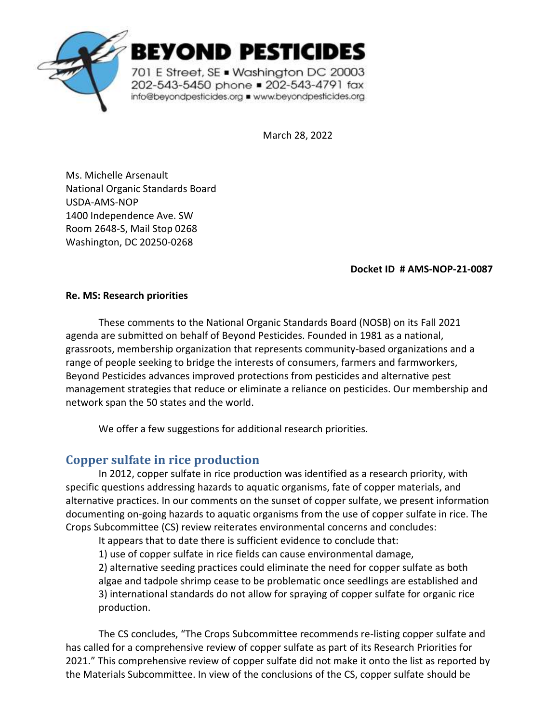

BEYOND PESTICIDES

701 E Street, SE . Washington DC 20003 202-543-5450 phone = 202-543-4791 fax info@beyondpesticides.org = www.beyondpesticides.org

March 28, 2022

Ms. Michelle Arsenault National Organic Standards Board USDA-AMS-NOP 1400 Independence Ave. SW Room 2648-S, Mail Stop 0268 Washington, DC 20250-0268

**Docket ID # AMS-NOP-21-0087**

## **Re. MS: Research priorities**

These comments to the National Organic Standards Board (NOSB) on its Fall 2021 agenda are submitted on behalf of Beyond Pesticides. Founded in 1981 as a national, grassroots, membership organization that represents community-based organizations and a range of people seeking to bridge the interests of consumers, farmers and farmworkers, Beyond Pesticides advances improved protections from pesticides and alternative pest management strategies that reduce or eliminate a reliance on pesticides. Our membership and network span the 50 states and the world.

We offer a few suggestions for additional research priorities.

## **Copper sulfate in rice production**

In 2012, copper sulfate in rice production was identified as a research priority, with specific questions addressing hazards to aquatic organisms, fate of copper materials, and alternative practices. In our comments on the sunset of copper sulfate, we present information documenting on-going hazards to aquatic organisms from the use of copper sulfate in rice. The Crops Subcommittee (CS) review reiterates environmental concerns and concludes:

It appears that to date there is sufficient evidence to conclude that:

1) use of copper sulfate in rice fields can cause environmental damage,

2) alternative seeding practices could eliminate the need for copper sulfate as both algae and tadpole shrimp cease to be problematic once seedlings are established and 3) international standards do not allow for spraying of copper sulfate for organic rice production.

The CS concludes, "The Crops Subcommittee recommends re-listing copper sulfate and has called for a comprehensive review of copper sulfate as part of its Research Priorities for 2021." This comprehensive review of copper sulfate did not make it onto the list as reported by the Materials Subcommittee. In view of the conclusions of the CS, copper sulfate should be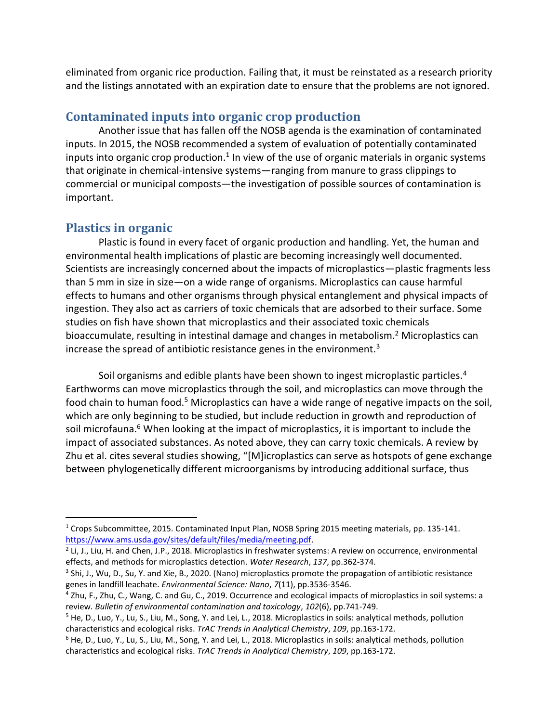eliminated from organic rice production. Failing that, it must be reinstated as a research priority and the listings annotated with an expiration date to ensure that the problems are not ignored.

## **Contaminated inputs into organic crop production**

Another issue that has fallen off the NOSB agenda is the examination of contaminated inputs. In 2015, the NOSB recommended a system of evaluation of potentially contaminated inputs into organic crop production.<sup>1</sup> In view of the use of organic materials in organic systems that originate in chemical-intensive systems—ranging from manure to grass clippings to commercial or municipal composts—the investigation of possible sources of contamination is important.

## **Plastics in organic**

Plastic is found in every facet of organic production and handling. Yet, the human and environmental health implications of plastic are becoming increasingly well documented. Scientists are increasingly concerned about the impacts of microplastics—plastic fragments less than 5 mm in size in size—on a wide range of organisms. Microplastics can cause harmful effects to humans and other organisms through physical entanglement and physical impacts of ingestion. They also act as carriers of toxic chemicals that are adsorbed to their surface. Some studies on fish have shown that microplastics and their associated toxic chemicals bioaccumulate, resulting in intestinal damage and changes in metabolism.<sup>2</sup> Microplastics can increase the spread of antibiotic resistance genes in the environment.<sup>3</sup>

Soil organisms and edible plants have been shown to ingest microplastic particles.<sup>4</sup> Earthworms can move microplastics through the soil, and microplastics can move through the food chain to human food.<sup>5</sup> Microplastics can have a wide range of negative impacts on the soil, which are only beginning to be studied, but include reduction in growth and reproduction of soil microfauna.<sup>6</sup> When looking at the impact of microplastics, it is important to include the impact of associated substances. As noted above, they can carry toxic chemicals. A review by Zhu et al. cites several studies showing, "[M]icroplastics can serve as hotspots of gene exchange between phylogenetically different microorganisms by introducing additional surface, thus

<sup>1</sup> Crops Subcommittee, 2015. Contaminated Input Plan, NOSB Spring 2015 meeting materials, pp. 135-141. [https://www.ams.usda.gov/sites/default/files/media/meeting.pdf.](https://www.ams.usda.gov/sites/default/files/media/meeting.pdf)

<sup>&</sup>lt;sup>2</sup> Li, J., Liu, H. and Chen, J.P., 2018. Microplastics in freshwater systems: A review on occurrence, environmental effects, and methods for microplastics detection. *Water Research*, *137*, pp.362-374.

<sup>&</sup>lt;sup>3</sup> Shi, J., Wu, D., Su, Y. and Xie, B., 2020. (Nano) microplastics promote the propagation of antibiotic resistance genes in landfill leachate. *Environmental Science: Nano*, *7*(11), pp.3536-3546.

<sup>4</sup> Zhu, F., Zhu, C., Wang, C. and Gu, C., 2019. Occurrence and ecological impacts of microplastics in soil systems: a review. *Bulletin of environmental contamination and toxicology*, *102*(6), pp.741-749.

 $5$  He, D., Luo, Y., Lu, S., Liu, M., Song, Y. and Lei, L., 2018. Microplastics in soils: analytical methods, pollution characteristics and ecological risks. *TrAC Trends in Analytical Chemistry*, *109*, pp.163-172.

 $6$  He, D., Luo, Y., Lu, S., Liu, M., Song, Y. and Lei, L., 2018. Microplastics in soils: analytical methods, pollution characteristics and ecological risks. *TrAC Trends in Analytical Chemistry*, *109*, pp.163-172.